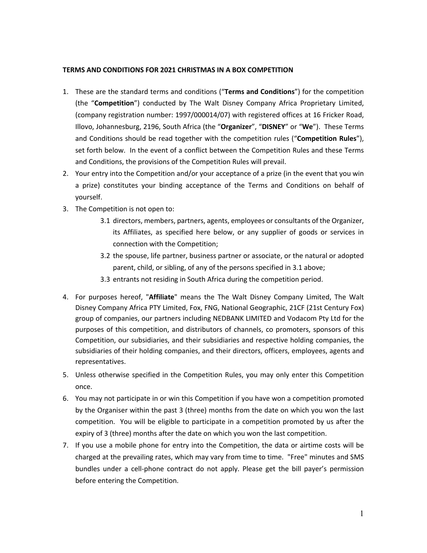## **TERMS AND CONDITIONS FOR 2021 CHRISTMAS IN A BOX COMPETITION**

- 1. These are the standard terms and conditions ("**Terms and Conditions**") for the competition (the "**Competition**") conducted by The Walt Disney Company Africa Proprietary Limited, (company registration number: 1997/000014/07) with registered offices at 16 Fricker Road, Illovo, Johannesburg, 2196, South Africa (the "**Organizer**", "**DISNEY**" or "**We**"). These Terms and Conditions should be read together with the competition rules ("**Competition Rules**"), set forth below. In the event of a conflict between the Competition Rules and these Terms and Conditions, the provisions of the Competition Rules will prevail.
- 2. Your entry into the Competition and/or your acceptance of a prize (in the event that you win a prize) constitutes your binding acceptance of the Terms and Conditions on behalf of yourself.
- 3. The Competition is not open to:
	- 3.1 directors, members, partners, agents, employees or consultants of the Organizer, its Affiliates, as specified here below, or any supplier of goods or services in connection with the Competition;
	- 3.2 the spouse, life partner, business partner or associate, or the natural or adopted parent, child, or sibling, of any of the persons specified in 3.1 above;
	- 3.3 entrants not residing in South Africa during the competition period.
- 4. For purposes hereof, "**Affiliate**" means the The Walt Disney Company Limited, The Walt Disney Company Africa PTY Limited, Fox, FNG, National Geographic, 21CF (21st Century Fox) group of companies, our partners including NEDBANK LIMITED and Vodacom Pty Ltd for the purposes of this competition, and distributors of channels, co promoters, sponsors of this Competition, our subsidiaries, and their subsidiaries and respective holding companies, the subsidiaries of their holding companies, and their directors, officers, employees, agents and representatives.
- 5. Unless otherwise specified in the Competition Rules, you may only enter this Competition once.
- 6. You may not participate in or win this Competition if you have won a competition promoted by the Organiser within the past 3 (three) months from the date on which you won the last competition. You will be eligible to participate in a competition promoted by us after the expiry of 3 (three) months after the date on which you won the last competition.
- 7. If you use a mobile phone for entry into the Competition, the data or airtime costs will be charged at the prevailing rates, which may vary from time to time. "Free" minutes and SMS bundles under a cell-phone contract do not apply. Please get the bill payer's permission before entering the Competition.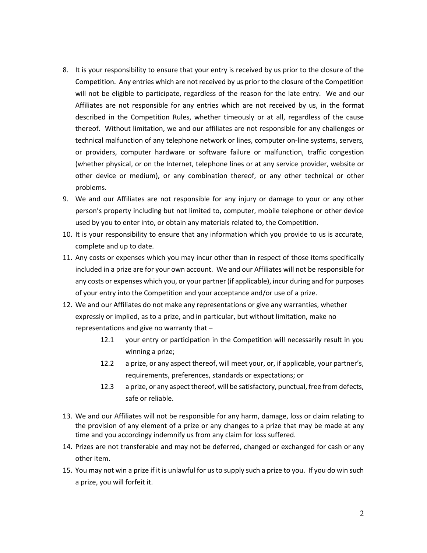- 8. It is your responsibility to ensure that your entry is received by us prior to the closure of the Competition. Any entries which are not received by us prior to the closure of the Competition will not be eligible to participate, regardless of the reason for the late entry. We and our Affiliates are not responsible for any entries which are not received by us, in the format described in the Competition Rules, whether timeously or at all, regardless of the cause thereof. Without limitation, we and our affiliates are not responsible for any challenges or technical malfunction of any telephone network or lines, computer on-line systems, servers, or providers, computer hardware or software failure or malfunction, traffic congestion (whether physical, or on the Internet, telephone lines or at any service provider, website or other device or medium), or any combination thereof, or any other technical or other problems.
- 9. We and our Affiliates are not responsible for any injury or damage to your or any other person's property including but not limited to, computer, mobile telephone or other device used by you to enter into, or obtain any materials related to, the Competition.
- 10. It is your responsibility to ensure that any information which you provide to us is accurate, complete and up to date.
- 11. Any costs or expenses which you may incur other than in respect of those items specifically included in a prize are for your own account. We and our Affiliates will not be responsible for any costs or expenses which you, or your partner (if applicable), incur during and for purposes of your entry into the Competition and your acceptance and/or use of a prize.
- 12. We and our Affiliates do not make any representations or give any warranties, whether expressly or implied, as to a prize, and in particular, but without limitation, make no representations and give no warranty that –
	- 12.1 your entry or participation in the Competition will necessarily result in you winning a prize;
	- 12.2 a prize, or any aspect thereof, will meet your, or, if applicable, your partner's, requirements, preferences, standards or expectations; or
	- 12.3 a prize, or any aspect thereof, will be satisfactory, punctual, free from defects, safe or reliable.
- 13. We and our Affiliates will not be responsible for any harm, damage, loss or claim relating to the provision of any element of a prize or any changes to a prize that may be made at any time and you accordingy indemnify us from any claim for loss suffered.
- 14. Prizes are not transferable and may not be deferred, changed or exchanged for cash or any other item.
- 15. You may not win a prize if it is unlawful for us to supply such a prize to you. If you do win such a prize, you will forfeit it.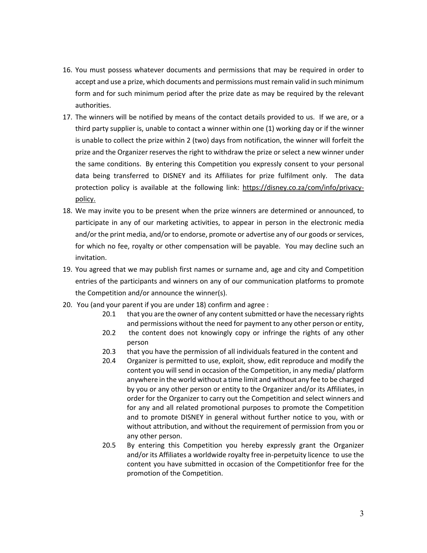- 16. You must possess whatever documents and permissions that may be required in order to accept and use a prize, which documents and permissions must remain valid in such minimum form and for such minimum period after the prize date as may be required by the relevant authorities.
- 17. The winners will be notified by means of the contact details provided to us. If we are, or a third party supplier is, unable to contact a winner within one (1) working day or if the winner is unable to collect the prize within 2 (two) days from notification, the winner will forfeit the prize and the Organizer reserves the right to withdraw the prize or select a new winner under the same conditions. By entering this Competition you expressly consent to your personal data being transferred to DISNEY and its Affiliates for prize fulfilment only. The data protection policy is available at the following link: https://disney.co.za/com/info/privacypolicy.
- 18. We may invite you to be present when the prize winners are determined or announced, to participate in any of our marketing activities, to appear in person in the electronic media and/or the print media, and/or to endorse, promote or advertise any of our goods or services, for which no fee, royalty or other compensation will be payable. You may decline such an invitation.
- 19. You agreed that we may publish first names or surname and, age and city and Competition entries of the participants and winners on any of our communication platforms to promote the Competition and/or announce the winner(s).
- 20. You (and your parent if you are under 18) confirm and agree :
	- 20.1 that you are the owner of any content submitted or have the necessary rights and permissions without the need for payment to any other person or entity,
	- 20.2 the content does not knowingly copy or infringe the rights of any other person
	- 20.3 that you have the permission of all individuals featured in the content and
	- 20.4 Organizer is permitted to use, exploit, show, edit reproduce and modify the content you will send in occasion of the Competition, in any media/ platform anywhere in the world without a time limit and without any fee to be charged by you or any other person or entity to the Organizer and/or its Affiliates, in order for the Organizer to carry out the Competition and select winners and for any and all related promotional purposes to promote the Competition and to promote DISNEY in general without further notice to you, with or without attribution, and without the requirement of permission from you or any other person.
	- 20.5 By entering this Competition you hereby expressly grant the Organizer and/or its Affiliates a worldwide royalty free in-perpetuity licence to use the content you have submitted in occasion of the Competitionfor free for the promotion of the Competition.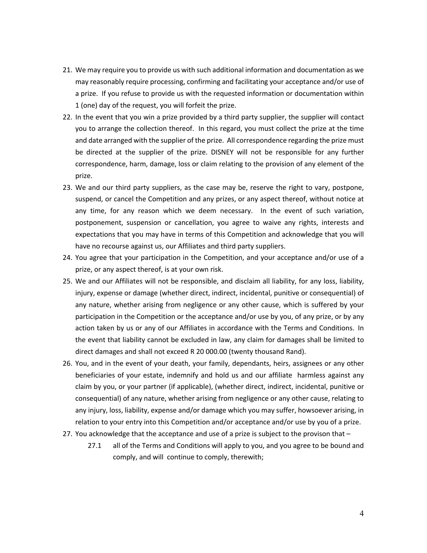- 21. We may require you to provide us with such additional information and documentation as we may reasonably require processing, confirming and facilitating your acceptance and/or use of a prize. If you refuse to provide us with the requested information or documentation within 1 (one) day of the request, you will forfeit the prize.
- 22. In the event that you win a prize provided by a third party supplier, the supplier will contact you to arrange the collection thereof. In this regard, you must collect the prize at the time and date arranged with the supplier of the prize. All correspondence regarding the prize must be directed at the supplier of the prize. DISNEY will not be responsible for any further correspondence, harm, damage, loss or claim relating to the provision of any element of the prize.
- 23. We and our third party suppliers, as the case may be, reserve the right to vary, postpone, suspend, or cancel the Competition and any prizes, or any aspect thereof, without notice at any time, for any reason which we deem necessary. In the event of such variation, postponement, suspension or cancellation, you agree to waive any rights, interests and expectations that you may have in terms of this Competition and acknowledge that you will have no recourse against us, our Affiliates and third party suppliers.
- 24. You agree that your participation in the Competition, and your acceptance and/or use of a prize, or any aspect thereof, is at your own risk.
- 25. We and our Affiliates will not be responsible, and disclaim all liability, for any loss, liability, injury, expense or damage (whether direct, indirect, incidental, punitive or consequential) of any nature, whether arising from negligence or any other cause, which is suffered by your participation in the Competition or the acceptance and/or use by you, of any prize, or by any action taken by us or any of our Affiliates in accordance with the Terms and Conditions. In the event that liability cannot be excluded in law, any claim for damages shall be limited to direct damages and shall not exceed R 20 000.00 (twenty thousand Rand).
- 26. You, and in the event of your death, your family, dependants, heirs, assignees or any other beneficiaries of your estate, indemnify and hold us and our affiliate harmless against any claim by you, or your partner (if applicable), (whether direct, indirect, incidental, punitive or consequential) of any nature, whether arising from negligence or any other cause, relating to any injury, loss, liability, expense and/or damage which you may suffer, howsoever arising, in relation to your entry into this Competition and/or acceptance and/or use by you of a prize.
- 27. You acknowledge that the acceptance and use of a prize is subject to the provison that
	- 27.1 all of the Terms and Conditions will apply to you, and you agree to be bound and comply, and will continue to comply, therewith;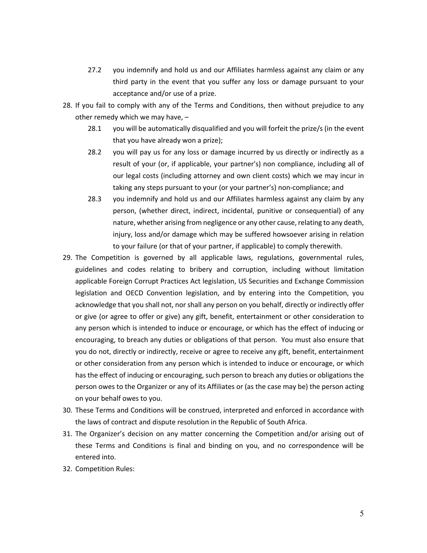- 27.2 you indemnify and hold us and our Affiliates harmless against any claim or any third party in the event that you suffer any loss or damage pursuant to your acceptance and/or use of a prize.
- 28. If you fail to comply with any of the Terms and Conditions, then without prejudice to any other remedy which we may have, –
	- 28.1 you will be automatically disqualified and you will forfeit the prize/s (in the event that you have already won a prize);
	- 28.2 you will pay us for any loss or damage incurred by us directly or indirectly as a result of your (or, if applicable, your partner's) non compliance, including all of our legal costs (including attorney and own client costs) which we may incur in taking any steps pursuant to your (or your partner's) non-compliance; and
	- 28.3 you indemnify and hold us and our Affiliates harmless against any claim by any person, (whether direct, indirect, incidental, punitive or consequential) of any nature, whether arising from negligence or any other cause, relating to any death, injury, loss and/or damage which may be suffered howsoever arising in relation to your failure (or that of your partner, if applicable) to comply therewith.
- 29. The Competition is governed by all applicable laws, regulations, governmental rules, guidelines and codes relating to bribery and corruption, including without limitation applicable Foreign Corrupt Practices Act legislation, US Securities and Exchange Commission legislation and OECD Convention legislation, and by entering into the Competition, you acknowledge that you shall not, nor shall any person on you behalf, directly or indirectly offer or give (or agree to offer or give) any gift, benefit, entertainment or other consideration to any person which is intended to induce or encourage, or which has the effect of inducing or encouraging, to breach any duties or obligations of that person. You must also ensure that you do not, directly or indirectly, receive or agree to receive any gift, benefit, entertainment or other consideration from any person which is intended to induce or encourage, or which has the effect of inducing or encouraging, such person to breach any duties or obligations the person owes to the Organizer or any of its Affiliates or (as the case may be) the person acting on your behalf owes to you.
- 30. These Terms and Conditions will be construed, interpreted and enforced in accordance with the laws of contract and dispute resolution in the Republic of South Africa.
- 31. The Organizer's decision on any matter concerning the Competition and/or arising out of these Terms and Conditions is final and binding on you, and no correspondence will be entered into.
- 32. Competition Rules: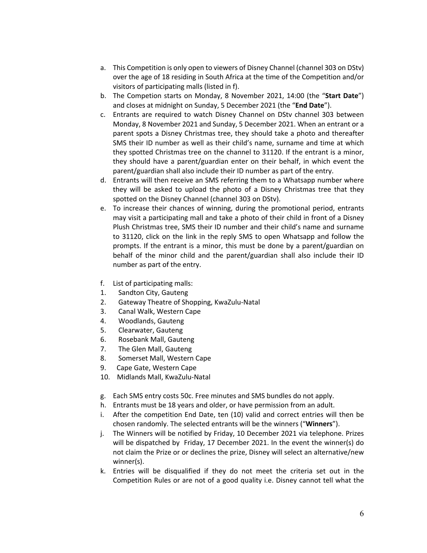- a. This Competition is only open to viewers of Disney Channel (channel 303 on DStv) over the age of 18 residing in South Africa at the time of the Competition and/or visitors of participating malls (listed in f).
- b. The Competion starts on Monday, 8 November 2021, 14:00 (the "**Start Date**") and closes at midnight on Sunday, 5 December 2021 (the "**End Date**").
- c. Entrants are required to watch Disney Channel on DStv channel 303 between Monday, 8 November 2021 and Sunday, 5 December 2021. When an entrant or a parent spots a Disney Christmas tree, they should take a photo and thereafter SMS their ID number as well as their child's name, surname and time at which they spotted Christmas tree on the channel to 31120. If the entrant is a minor, they should have a parent/guardian enter on their behalf, in which event the parent/guardian shall also include their ID number as part of the entry.
- d. Entrants will then receive an SMS referring them to a Whatsapp number where they will be asked to upload the photo of a Disney Christmas tree that they spotted on the Disney Channel (channel 303 on DStv).
- e. To increase their chances of winning, during the promotional period, entrants may visit a participating mall and take a photo of their child in front of a Disney Plush Christmas tree, SMS their ID number and their child's name and surname to 31120, click on the link in the reply SMS to open Whatsapp and follow the prompts. If the entrant is a minor, this must be done by a parent/guardian on behalf of the minor child and the parent/guardian shall also include their ID number as part of the entry.
- f. List of participating malls:
- 1. Sandton City, Gauteng
- 2. Gateway Theatre of Shopping, KwaZulu-Natal
- 3. Canal Walk, Western Cape
- 4. Woodlands, Gauteng
- 5. Clearwater, Gauteng
- 6. Rosebank Mall, Gauteng
- 7. The Glen Mall, Gauteng
- 8. Somerset Mall, Western Cape
- 9. Cape Gate, Western Cape
- 10. Midlands Mall, KwaZulu-Natal
- g. Each SMS entry costs 50c. Free minutes and SMS bundles do not apply.
- h. Entrants must be 18 years and older, or have permission from an adult.
- i. After the competition End Date, ten (10) valid and correct entries will then be chosen randomly. The selected entrants will be the winners ("**Winners**").
- j. The Winners will be notified by Friday, 10 December 2021 via telephone. Prizes will be dispatched by Friday, 17 December 2021. In the event the winner(s) do not claim the Prize or or declines the prize, Disney will select an alternative/new winner(s).
- k. Entries will be disqualified if they do not meet the criteria set out in the Competition Rules or are not of a good quality i.e. Disney cannot tell what the